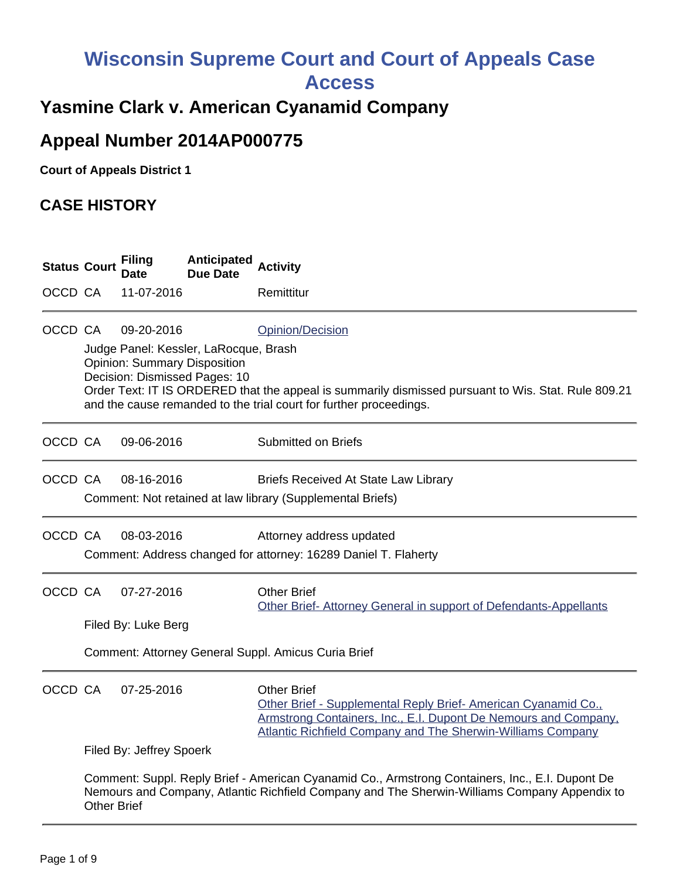# **Wisconsin Supreme Court and Court of Appeals Case**

**Access**

### **Yasmine Clark v. American Cyanamid Company**

## **Appeal Number 2014AP000775**

**Court of Appeals District 1**

#### **CASE HISTORY**

| <b>Status Court</b> |                                                                                                                                                                                                                       | <b>Filing</b><br>Date                             | <b>Anticipated</b><br>Due Date                                         | <b>Activity</b>                                                                                                                                                                                                              |
|---------------------|-----------------------------------------------------------------------------------------------------------------------------------------------------------------------------------------------------------------------|---------------------------------------------------|------------------------------------------------------------------------|------------------------------------------------------------------------------------------------------------------------------------------------------------------------------------------------------------------------------|
| OCCD CA             |                                                                                                                                                                                                                       | 11-07-2016                                        |                                                                        | Remittitur                                                                                                                                                                                                                   |
| OCCD CA             |                                                                                                                                                                                                                       | 09-20-2016<br><b>Opinion: Summary Disposition</b> | Judge Panel: Kessler, LaRocque, Brash<br>Decision: Dismissed Pages: 10 | Opinion/Decision<br>Order Text: IT IS ORDERED that the appeal is summarily dismissed pursuant to Wis. Stat. Rule 809.21<br>and the cause remanded to the trial court for further proceedings.                                |
| OCCD CA             |                                                                                                                                                                                                                       | 09-06-2016                                        |                                                                        | <b>Submitted on Briefs</b>                                                                                                                                                                                                   |
| OCCD CA             |                                                                                                                                                                                                                       | 08-16-2016                                        |                                                                        | <b>Briefs Received At State Law Library</b><br>Comment: Not retained at law library (Supplemental Briefs)                                                                                                                    |
| OCCD CA             |                                                                                                                                                                                                                       | 08-03-2016                                        |                                                                        | Attorney address updated<br>Comment: Address changed for attorney: 16289 Daniel T. Flaherty                                                                                                                                  |
| OCCD CA             |                                                                                                                                                                                                                       | 07-27-2016                                        |                                                                        | <b>Other Brief</b><br>Other Brief-Attorney General in support of Defendants-Appellants                                                                                                                                       |
|                     |                                                                                                                                                                                                                       | Filed By: Luke Berg                               |                                                                        |                                                                                                                                                                                                                              |
|                     | Comment: Attorney General Suppl. Amicus Curia Brief                                                                                                                                                                   |                                                   |                                                                        |                                                                                                                                                                                                                              |
| OCCD CA             |                                                                                                                                                                                                                       | 07-25-2016                                        |                                                                        | <b>Other Brief</b><br>Other Brief - Supplemental Reply Brief-American Cyanamid Co.,<br>Armstrong Containers, Inc., E.I. Dupont De Nemours and Company,<br><b>Atlantic Richfield Company and The Sherwin-Williams Company</b> |
|                     | Filed By: Jeffrey Spoerk                                                                                                                                                                                              |                                                   |                                                                        |                                                                                                                                                                                                                              |
|                     | Comment: Suppl. Reply Brief - American Cyanamid Co., Armstrong Containers, Inc., E.I. Dupont De<br>Nemours and Company, Atlantic Richfield Company and The Sherwin-Williams Company Appendix to<br><b>Other Brief</b> |                                                   |                                                                        |                                                                                                                                                                                                                              |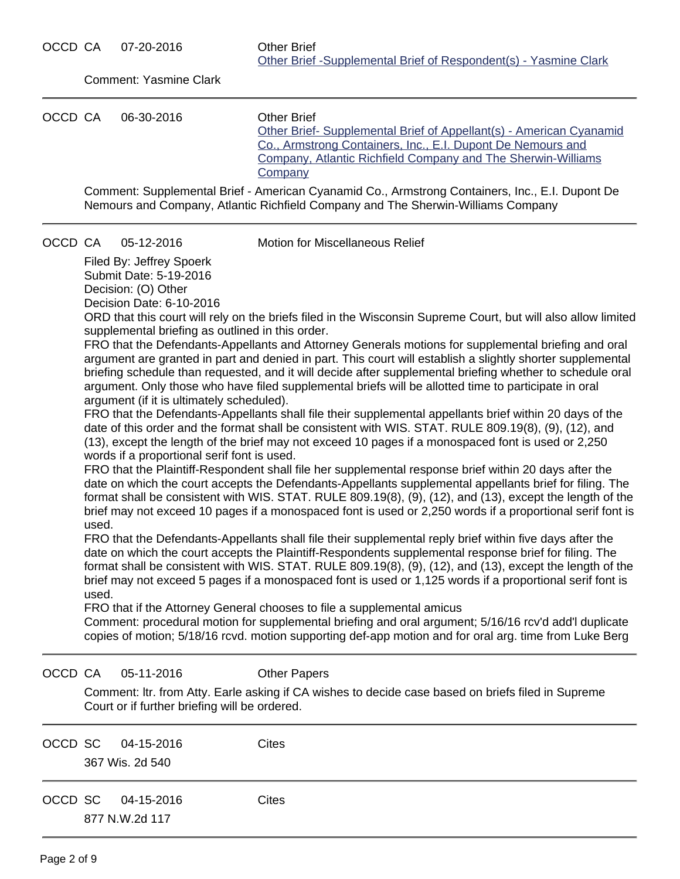Comment: Yasmine Clark OCCD CA 06-30-2016 Other Brief [Other Brief- Supplemental Brief of Appellant\(s\) - American Cyanamid](https://acefiling.wicourts.gov/document/eFiled/2014AP000775/171352) [Co., Armstrong Containers, Inc., E.I. Dupont De Nemours and](https://acefiling.wicourts.gov/document/eFiled/2014AP000775/171352) [Company, Atlantic Richfield Company and The Sherwin-Williams](https://acefiling.wicourts.gov/document/eFiled/2014AP000775/171352) **[Company](https://acefiling.wicourts.gov/document/eFiled/2014AP000775/171352)** Comment: Supplemental Brief - American Cyanamid Co., Armstrong Containers, Inc., E.I. Dupont De Nemours and Company, Atlantic Richfield Company and The Sherwin-Williams Company OCCD CA 05-12-2016 Motion for Miscellaneous Relief Filed By: Jeffrey Spoerk Submit Date: 5-19-2016 Decision: (O) Other Decision Date: 6-10-2016 ORD that this court will rely on the briefs filed in the Wisconsin Supreme Court, but will also allow limited supplemental briefing as outlined in this order. FRO that the Defendants-Appellants and Attorney Generals motions for supplemental briefing and oral argument are granted in part and denied in part. This court will establish a slightly shorter supplemental briefing schedule than requested, and it will decide after supplemental briefing whether to schedule oral argument. Only those who have filed supplemental briefs will be allotted time to participate in oral argument (if it is ultimately scheduled). FRO that the Defendants-Appellants shall file their supplemental appellants brief within 20 days of the date of this order and the format shall be consistent with WIS. STAT. RULE 809.19(8), (9), (12), and (13), except the length of the brief may not exceed 10 pages if a monospaced font is used or 2,250 words if a proportional serif font is used. FRO that the Plaintiff-Respondent shall file her supplemental response brief within 20 days after the date on which the court accepts the Defendants-Appellants supplemental appellants brief for filing. The format shall be consistent with WIS. STAT. RULE 809.19(8), (9), (12), and (13), except the length of the brief may not exceed 10 pages if a monospaced font is used or 2,250 words if a proportional serif font is used. FRO that the Defendants-Appellants shall file their supplemental reply brief within five days after the date on which the court accepts the Plaintiff-Respondents supplemental response brief for filing. The format shall be consistent with WIS. STAT. RULE 809.19(8), (9), (12), and (13), except the length of the brief may not exceed 5 pages if a monospaced font is used or 1,125 words if a proportional serif font is used. FRO that if the Attorney General chooses to file a supplemental amicus Comment: procedural motion for supplemental briefing and oral argument; 5/16/16 rcv'd add'l duplicate copies of motion; 5/18/16 rcvd. motion supporting def-app motion and for oral arg. time from Luke Berg OCCD CA 05-11-2016 Other Papers Comment: ltr. from Atty. Earle asking if CA wishes to decide case based on briefs filed in Supreme Court or if further briefing will be ordered. OCCD SC 04-15-2016 Cites 367 Wis. 2d 540 OCCD SC 04-15-2016 Cites

877 N.W.2d 117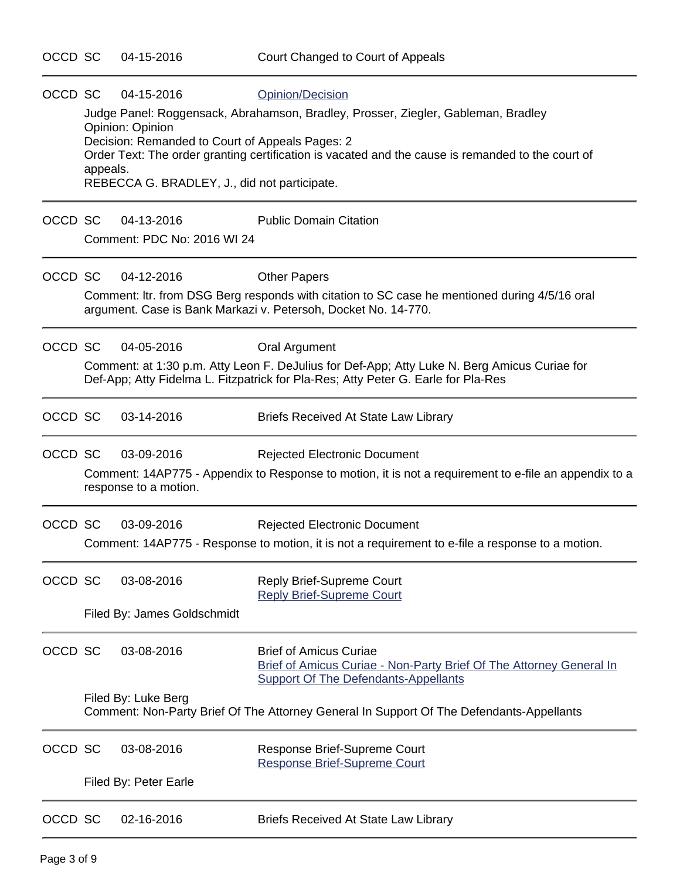| OCCD SC | 04-15-2016                                                                                                                                           | Opinion/Decision                                                                                                                                                                  |  |  |  |
|---------|------------------------------------------------------------------------------------------------------------------------------------------------------|-----------------------------------------------------------------------------------------------------------------------------------------------------------------------------------|--|--|--|
|         | Opinion: Opinion                                                                                                                                     | Judge Panel: Roggensack, Abrahamson, Bradley, Prosser, Ziegler, Gableman, Bradley                                                                                                 |  |  |  |
|         | Decision: Remanded to Court of Appeals Pages: 2<br>Order Text: The order granting certification is vacated and the cause is remanded to the court of |                                                                                                                                                                                   |  |  |  |
|         | appeals.                                                                                                                                             |                                                                                                                                                                                   |  |  |  |
|         | REBECCA G. BRADLEY, J., did not participate.                                                                                                         |                                                                                                                                                                                   |  |  |  |
| OCCD SC | 04-13-2016                                                                                                                                           | <b>Public Domain Citation</b>                                                                                                                                                     |  |  |  |
|         | Comment: PDC No: 2016 WI 24                                                                                                                          |                                                                                                                                                                                   |  |  |  |
| OCCD SC | 04-12-2016                                                                                                                                           | <b>Other Papers</b>                                                                                                                                                               |  |  |  |
|         |                                                                                                                                                      | Comment: Itr. from DSG Berg responds with citation to SC case he mentioned during 4/5/16 oral<br>argument. Case is Bank Markazi v. Petersoh, Docket No. 14-770.                   |  |  |  |
| OCCD SC | 04-05-2016                                                                                                                                           | <b>Oral Argument</b>                                                                                                                                                              |  |  |  |
|         |                                                                                                                                                      | Comment: at 1:30 p.m. Atty Leon F. DeJulius for Def-App; Atty Luke N. Berg Amicus Curiae for<br>Def-App; Atty Fidelma L. Fitzpatrick for Pla-Res; Atty Peter G. Earle for Pla-Res |  |  |  |
| OCCD SC | 03-14-2016                                                                                                                                           | <b>Briefs Received At State Law Library</b>                                                                                                                                       |  |  |  |
| OCCD SC | 03-09-2016                                                                                                                                           | <b>Rejected Electronic Document</b>                                                                                                                                               |  |  |  |
|         | response to a motion.                                                                                                                                | Comment: 14AP775 - Appendix to Response to motion, it is not a requirement to e-file an appendix to a                                                                             |  |  |  |
| OCCD SC | 03-09-2016                                                                                                                                           | <b>Rejected Electronic Document</b>                                                                                                                                               |  |  |  |
|         |                                                                                                                                                      | Comment: 14AP775 - Response to motion, it is not a requirement to e-file a response to a motion.                                                                                  |  |  |  |
| OCCD SC | 03-08-2016                                                                                                                                           | <b>Reply Brief-Supreme Court</b><br><b>Reply Brief-Supreme Court</b>                                                                                                              |  |  |  |
|         | Filed By: James Goldschmidt                                                                                                                          |                                                                                                                                                                                   |  |  |  |
| OCCD SC | 03-08-2016                                                                                                                                           | <b>Brief of Amicus Curiae</b><br>Brief of Amicus Curiae - Non-Party Brief Of The Attorney General In<br><b>Support Of The Defendants-Appellants</b>                               |  |  |  |
|         | Filed By: Luke Berg                                                                                                                                  | Comment: Non-Party Brief Of The Attorney General In Support Of The Defendants-Appellants                                                                                          |  |  |  |
| OCCD SC | 03-08-2016                                                                                                                                           | Response Brief-Supreme Court<br>Response Brief-Supreme Court                                                                                                                      |  |  |  |
|         | Filed By: Peter Earle                                                                                                                                |                                                                                                                                                                                   |  |  |  |
| OCCD SC | 02-16-2016                                                                                                                                           | <b>Briefs Received At State Law Library</b>                                                                                                                                       |  |  |  |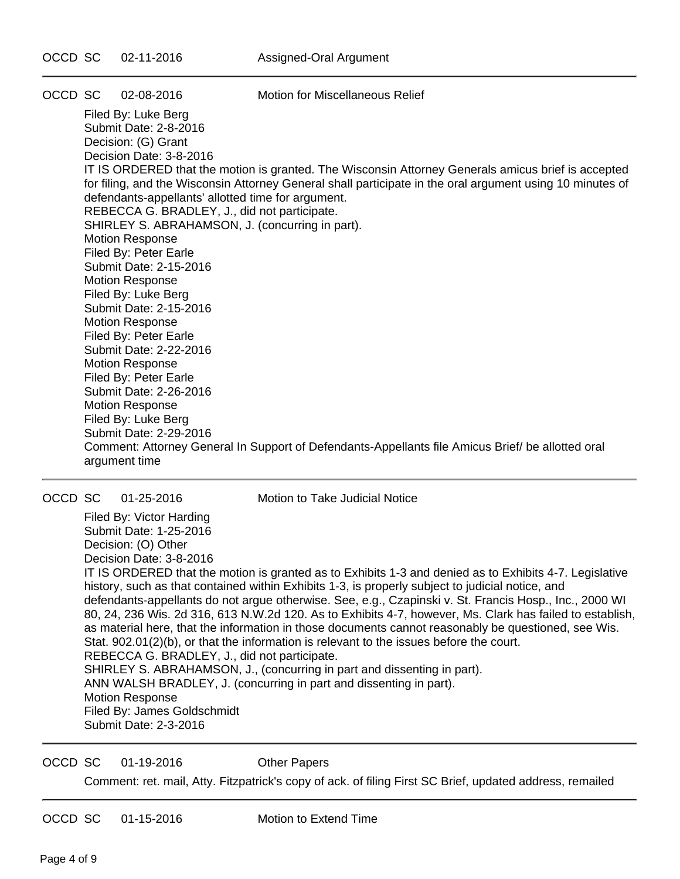OCCD SC 02-08-2016 Motion for Miscellaneous Relief

Filed By: Luke Berg Submit Date: 2-8-2016 Decision: (G) Grant Decision Date: 3-8-2016 IT IS ORDERED that the motion is granted. The Wisconsin Attorney Generals amicus brief is accepted for filing, and the Wisconsin Attorney General shall participate in the oral argument using 10 minutes of defendants-appellants' allotted time for argument. REBECCA G. BRADLEY, J., did not participate. SHIRLEY S. ABRAHAMSON, J. (concurring in part). Motion Response Filed By: Peter Earle Submit Date: 2-15-2016 Motion Response Filed By: Luke Berg Submit Date: 2-15-2016 Motion Response Filed By: Peter Earle Submit Date: 2-22-2016 Motion Response Filed By: Peter Earle Submit Date: 2-26-2016 Motion Response Filed By: Luke Berg Submit Date: 2-29-2016 Comment: Attorney General In Support of Defendants-Appellants file Amicus Brief/ be allotted oral argument time

OCCD SC 01-25-2016 Motion to Take Judicial Notice

Filed By: Victor Harding Submit Date: 1-25-2016 Decision: (O) Other Decision Date: 3-8-2016 IT IS ORDERED that the motion is granted as to Exhibits 1-3 and denied as to Exhibits 4-7. Legislative history, such as that contained within Exhibits 1-3, is properly subject to judicial notice, and defendants-appellants do not argue otherwise. See, e.g., Czapinski v. St. Francis Hosp., Inc., 2000 WI 80, 24, 236 Wis. 2d 316, 613 N.W.2d 120. As to Exhibits 4-7, however, Ms. Clark has failed to establish, as material here, that the information in those documents cannot reasonably be questioned, see Wis. Stat. 902.01(2)(b), or that the information is relevant to the issues before the court. REBECCA G. BRADLEY, J., did not participate. SHIRLEY S. ABRAHAMSON, J., (concurring in part and dissenting in part). ANN WALSH BRADLEY, J. (concurring in part and dissenting in part). Motion Response Filed By: James Goldschmidt Submit Date: 2-3-2016

OCCD SC 01-19-2016 Other Papers

Comment: ret. mail, Atty. Fitzpatrick's copy of ack. of filing First SC Brief, updated address, remailed

OCCD SC 01-15-2016 Motion to Extend Time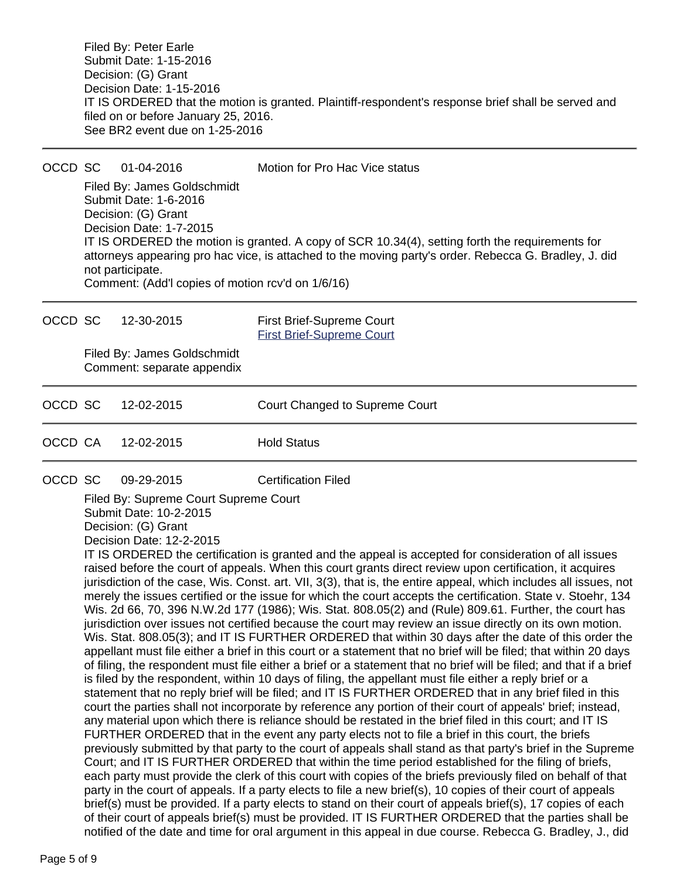Filed By: Peter Earle Submit Date: 1-15-2016 Decision: (G) Grant Decision Date: 1-15-2016 IT IS ORDERED that the motion is granted. Plaintiff-respondent's response brief shall be served and filed on or before January 25, 2016. See BR2 event due on 1-25-2016

OCCD SC 01-04-2016 Motion for Pro Hac Vice status Filed By: James Goldschmidt Submit Date: 1-6-2016 Decision: (G) Grant Decision Date: 1-7-2015 IT IS ORDERED the motion is granted. A copy of SCR 10.34(4), setting forth the requirements for attorneys appearing pro hac vice, is attached to the moving party's order. Rebecca G. Bradley, J. did not participate. Comment: (Add'l copies of motion rcv'd on 1/6/16)

OCCD SC 12-30-2015 First Brief-Supreme Court [First Brief-Supreme Court](https://acefiling.wicourts.gov/document/eFiled/2014AP000775/158663) Filed By: James Goldschmidt Comment: separate appendix OCCD SC 12-02-2015 Court Changed to Supreme Court OCCD CA 12-02-2015 Hold Status OCCD SC 09-29-2015 Certification Filed Filed By: Supreme Court Supreme Court Submit Date: 10-2-2015 Decision: (G) Grant Decision Date: 12-2-2015 IT IS ORDERED the certification is granted and the appeal is accepted for consideration of all issues raised before the court of appeals. When this court grants direct review upon certification, it acquires

jurisdiction of the case, Wis. Const. art. VII, 3(3), that is, the entire appeal, which includes all issues, not merely the issues certified or the issue for which the court accepts the certification. State v. Stoehr, 134 Wis. 2d 66, 70, 396 N.W.2d 177 (1986); Wis. Stat. 808.05(2) and (Rule) 809.61. Further, the court has jurisdiction over issues not certified because the court may review an issue directly on its own motion. Wis. Stat. 808.05(3); and IT IS FURTHER ORDERED that within 30 days after the date of this order the appellant must file either a brief in this court or a statement that no brief will be filed; that within 20 days of filing, the respondent must file either a brief or a statement that no brief will be filed; and that if a brief is filed by the respondent, within 10 days of filing, the appellant must file either a reply brief or a statement that no reply brief will be filed; and IT IS FURTHER ORDERED that in any brief filed in this court the parties shall not incorporate by reference any portion of their court of appeals' brief; instead, any material upon which there is reliance should be restated in the brief filed in this court; and IT IS FURTHER ORDERED that in the event any party elects not to file a brief in this court, the briefs previously submitted by that party to the court of appeals shall stand as that party's brief in the Supreme Court; and IT IS FURTHER ORDERED that within the time period established for the filing of briefs, each party must provide the clerk of this court with copies of the briefs previously filed on behalf of that party in the court of appeals. If a party elects to file a new brief(s), 10 copies of their court of appeals brief(s) must be provided. If a party elects to stand on their court of appeals brief(s), 17 copies of each of their court of appeals brief(s) must be provided. IT IS FURTHER ORDERED that the parties shall be notified of the date and time for oral argument in this appeal in due course. Rebecca G. Bradley, J., did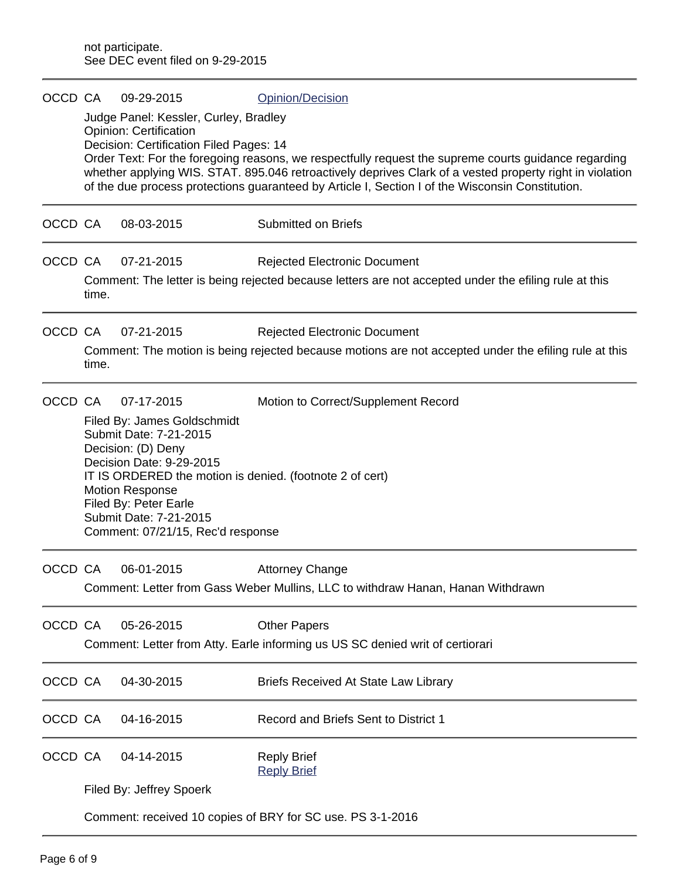| OCCD CA |                                                            | 09-29-2015                                                                                                                                                                                                                              | Opinion/Decision                                                                                                                                                                                                                                                                                                     |  |
|---------|------------------------------------------------------------|-----------------------------------------------------------------------------------------------------------------------------------------------------------------------------------------------------------------------------------------|----------------------------------------------------------------------------------------------------------------------------------------------------------------------------------------------------------------------------------------------------------------------------------------------------------------------|--|
|         |                                                            | Judge Panel: Kessler, Curley, Bradley<br><b>Opinion: Certification</b><br>Decision: Certification Filed Pages: 14                                                                                                                       | Order Text: For the foregoing reasons, we respectfully request the supreme courts guidance regarding<br>whether applying WIS. STAT. 895.046 retroactively deprives Clark of a vested property right in violation<br>of the due process protections guaranteed by Article I, Section I of the Wisconsin Constitution. |  |
| OCCD CA |                                                            | 08-03-2015                                                                                                                                                                                                                              | <b>Submitted on Briefs</b>                                                                                                                                                                                                                                                                                           |  |
| OCCD CA | time.                                                      | 07-21-2015                                                                                                                                                                                                                              | <b>Rejected Electronic Document</b><br>Comment: The letter is being rejected because letters are not accepted under the efiling rule at this                                                                                                                                                                         |  |
| OCCD CA | time.                                                      | 07-21-2015                                                                                                                                                                                                                              | <b>Rejected Electronic Document</b><br>Comment: The motion is being rejected because motions are not accepted under the efiling rule at this                                                                                                                                                                         |  |
| OCCD CA |                                                            | 07-17-2015<br>Filed By: James Goldschmidt<br>Submit Date: 7-21-2015<br>Decision: (D) Deny<br>Decision Date: 9-29-2015<br><b>Motion Response</b><br>Filed By: Peter Earle<br>Submit Date: 7-21-2015<br>Comment: 07/21/15, Rec'd response | Motion to Correct/Supplement Record<br>IT IS ORDERED the motion is denied. (footnote 2 of cert)                                                                                                                                                                                                                      |  |
| OCCD CA |                                                            | 06-01-2015                                                                                                                                                                                                                              | <b>Attorney Change</b><br>Comment: Letter from Gass Weber Mullins, LLC to withdraw Hanan, Hanan Withdrawn                                                                                                                                                                                                            |  |
| OCCD CA |                                                            | 05-26-2015                                                                                                                                                                                                                              | <b>Other Papers</b><br>Comment: Letter from Atty. Earle informing us US SC denied writ of certiorari                                                                                                                                                                                                                 |  |
| OCCD CA |                                                            | 04-30-2015                                                                                                                                                                                                                              | Briefs Received At State Law Library                                                                                                                                                                                                                                                                                 |  |
| OCCD CA |                                                            | 04-16-2015                                                                                                                                                                                                                              | Record and Briefs Sent to District 1                                                                                                                                                                                                                                                                                 |  |
| OCCD CA |                                                            | 04-14-2015                                                                                                                                                                                                                              | <b>Reply Brief</b><br><b>Reply Brief</b>                                                                                                                                                                                                                                                                             |  |
|         | Filed By: Jeffrey Spoerk                                   |                                                                                                                                                                                                                                         |                                                                                                                                                                                                                                                                                                                      |  |
|         | Comment: received 10 copies of BRY for SC use. PS 3-1-2016 |                                                                                                                                                                                                                                         |                                                                                                                                                                                                                                                                                                                      |  |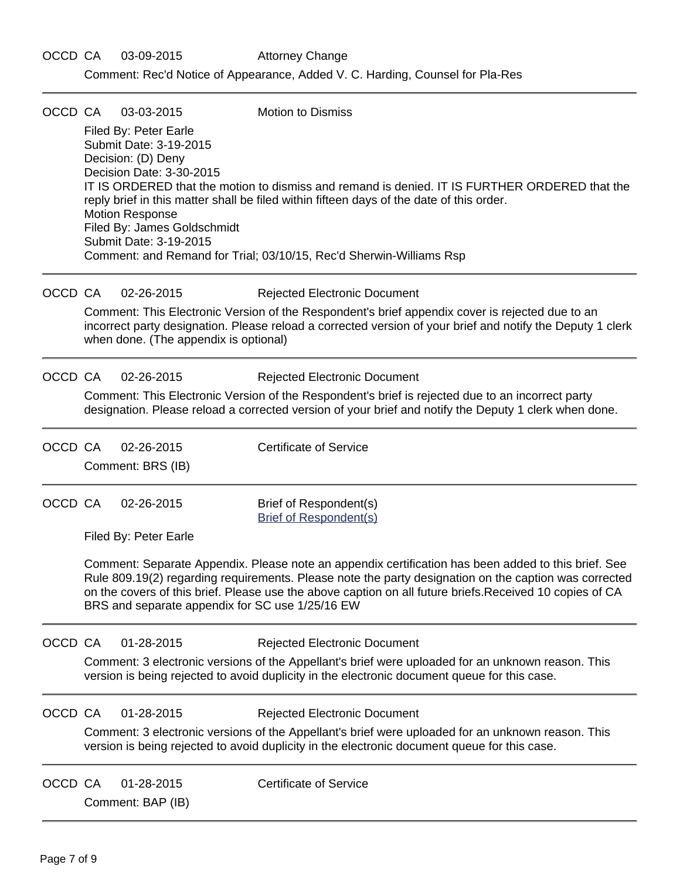| OCCD CA |                                                                                                                                                                                                                                                                                                                                                                             | 03-03-2015                                                                                                                                                                           | <b>Motion to Dismiss</b>                                                                                                                                                                                                                                         |  |  |  |
|---------|-----------------------------------------------------------------------------------------------------------------------------------------------------------------------------------------------------------------------------------------------------------------------------------------------------------------------------------------------------------------------------|--------------------------------------------------------------------------------------------------------------------------------------------------------------------------------------|------------------------------------------------------------------------------------------------------------------------------------------------------------------------------------------------------------------------------------------------------------------|--|--|--|
|         |                                                                                                                                                                                                                                                                                                                                                                             | Filed By: Peter Earle<br>Submit Date: 3-19-2015<br>Decision: (D) Deny<br>Decision Date: 3-30-2015<br><b>Motion Response</b><br>Filed By: James Goldschmidt<br>Submit Date: 3-19-2015 | IT IS ORDERED that the motion to dismiss and remand is denied. IT IS FURTHER ORDERED that the<br>reply brief in this matter shall be filed within fifteen days of the date of this order.<br>Comment: and Remand for Trial; 03/10/15, Rec'd Sherwin-Williams Rsp |  |  |  |
| OCCD CA |                                                                                                                                                                                                                                                                                                                                                                             | 02-26-2015                                                                                                                                                                           | <b>Rejected Electronic Document</b>                                                                                                                                                                                                                              |  |  |  |
|         |                                                                                                                                                                                                                                                                                                                                                                             | when done. (The appendix is optional)                                                                                                                                                | Comment: This Electronic Version of the Respondent's brief appendix cover is rejected due to an<br>incorrect party designation. Please reload a corrected version of your brief and notify the Deputy 1 clerk                                                    |  |  |  |
| OCCD CA |                                                                                                                                                                                                                                                                                                                                                                             | 02-26-2015                                                                                                                                                                           | <b>Rejected Electronic Document</b>                                                                                                                                                                                                                              |  |  |  |
|         |                                                                                                                                                                                                                                                                                                                                                                             |                                                                                                                                                                                      | Comment: This Electronic Version of the Respondent's brief is rejected due to an incorrect party<br>designation. Please reload a corrected version of your brief and notify the Deputy 1 clerk when done.                                                        |  |  |  |
| OCCD CA |                                                                                                                                                                                                                                                                                                                                                                             | 02-26-2015                                                                                                                                                                           | <b>Certificate of Service</b>                                                                                                                                                                                                                                    |  |  |  |
|         |                                                                                                                                                                                                                                                                                                                                                                             | Comment: BRS (IB)                                                                                                                                                                    |                                                                                                                                                                                                                                                                  |  |  |  |
| OCCD CA |                                                                                                                                                                                                                                                                                                                                                                             | 02-26-2015                                                                                                                                                                           | Brief of Respondent(s)<br><b>Brief of Respondent(s)</b>                                                                                                                                                                                                          |  |  |  |
|         |                                                                                                                                                                                                                                                                                                                                                                             | Filed By: Peter Earle                                                                                                                                                                |                                                                                                                                                                                                                                                                  |  |  |  |
|         | Comment: Separate Appendix. Please note an appendix certification has been added to this brief. See<br>Rule 809.19(2) regarding requirements. Please note the party designation on the caption was corrected<br>on the covers of this brief. Please use the above caption on all future briefs. Received 10 copies of CA<br>BRS and separate appendix for SC use 1/25/16 EW |                                                                                                                                                                                      |                                                                                                                                                                                                                                                                  |  |  |  |
| OCCD CA |                                                                                                                                                                                                                                                                                                                                                                             | 01-28-2015                                                                                                                                                                           | <b>Rejected Electronic Document</b>                                                                                                                                                                                                                              |  |  |  |
|         |                                                                                                                                                                                                                                                                                                                                                                             |                                                                                                                                                                                      | Comment: 3 electronic versions of the Appellant's brief were uploaded for an unknown reason. This<br>version is being rejected to avoid duplicity in the electronic document queue for this case.                                                                |  |  |  |
| OCCD CA |                                                                                                                                                                                                                                                                                                                                                                             | 01-28-2015                                                                                                                                                                           | <b>Rejected Electronic Document</b>                                                                                                                                                                                                                              |  |  |  |
|         |                                                                                                                                                                                                                                                                                                                                                                             |                                                                                                                                                                                      | Comment: 3 electronic versions of the Appellant's brief were uploaded for an unknown reason. This<br>version is being rejected to avoid duplicity in the electronic document queue for this case.                                                                |  |  |  |
| OCCD CA |                                                                                                                                                                                                                                                                                                                                                                             | 01-28-2015<br>Comment: BAP (IB)                                                                                                                                                      | <b>Certificate of Service</b>                                                                                                                                                                                                                                    |  |  |  |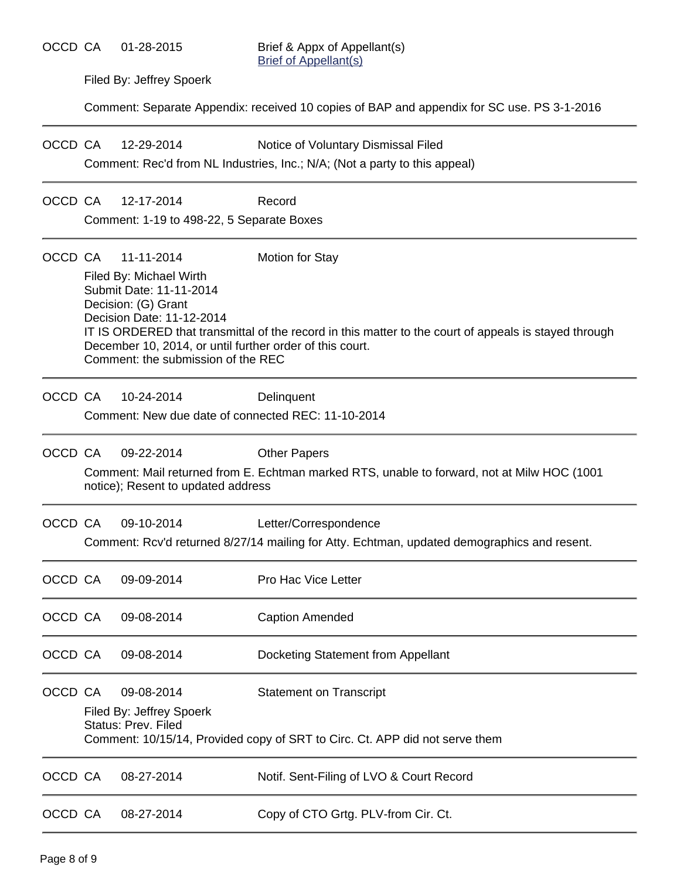Filed By: Jeffrey Spoerk

Comment: Separate Appendix: received 10 copies of BAP and appendix for SC use. PS 3-1-2016

OCCD CA 12-29-2014 Notice of Voluntary Dismissal Filed

Comment: Rec'd from NL Industries, Inc.; N/A; (Not a party to this appeal)

#### OCCD CA 12-17-2014 Record

Comment: 1-19 to 498-22, 5 Separate Boxes

| OCCD CA | 11-11-2014<br>Filed By: Michael Wirth<br>Submit Date: 11-11-2014<br>Decision: (G) Grant<br>Decision Date: 11-12-2014<br>December 10, 2014, or until further order of this court.<br>Comment: the submission of the REC | <b>Motion for Stay</b><br>IT IS ORDERED that transmittal of the record in this matter to the court of appeals is stayed through |
|---------|------------------------------------------------------------------------------------------------------------------------------------------------------------------------------------------------------------------------|---------------------------------------------------------------------------------------------------------------------------------|
| OCCD CA | 10-24-2014<br>Comment: New due date of connected REC: 11-10-2014                                                                                                                                                       | Delinquent                                                                                                                      |
| OCCD CA | 09-22-2014<br>notice); Resent to updated address                                                                                                                                                                       | <b>Other Papers</b><br>Comment: Mail returned from E. Echtman marked RTS, unable to forward, not at Milw HOC (1001)             |
| OCCD CA | 09-10-2014                                                                                                                                                                                                             | Letter/Correspondence<br>Comment: Rcv'd returned 8/27/14 mailing for Atty. Echtman, updated demographics and resent.            |
| OCCD CA | 09-09-2014                                                                                                                                                                                                             | Pro Hac Vice Letter                                                                                                             |
| OCCD CA | 09-08-2014                                                                                                                                                                                                             | <b>Caption Amended</b>                                                                                                          |
| OCCD CA | 09-08-2014                                                                                                                                                                                                             | Docketing Statement from Appellant                                                                                              |
| OCCD CA | 09-08-2014<br>Filed By: Jeffrey Spoerk<br>Status: Prev. Filed                                                                                                                                                          | <b>Statement on Transcript</b><br>Comment: 10/15/14, Provided copy of SRT to Circ. Ct. APP did not serve them                   |
| OCCD CA | 08-27-2014                                                                                                                                                                                                             | Notif. Sent-Filing of LVO & Court Record                                                                                        |
| OCCD CA | 08-27-2014                                                                                                                                                                                                             | Copy of CTO Grtg. PLV-from Cir. Ct.                                                                                             |